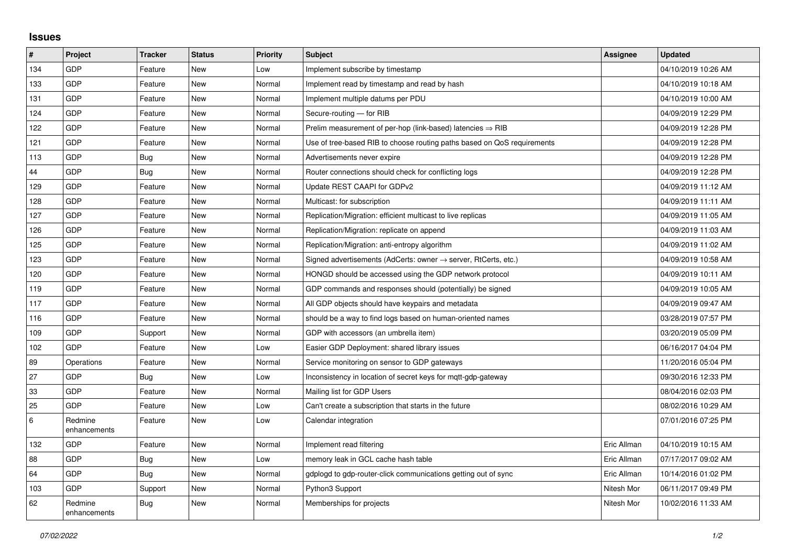## **Issues**

| #   | Project                 | <b>Tracker</b> | <b>Status</b> | <b>Priority</b> | <b>Subject</b>                                                             | <b>Assignee</b> | <b>Updated</b>      |
|-----|-------------------------|----------------|---------------|-----------------|----------------------------------------------------------------------------|-----------------|---------------------|
| 134 | GDP                     | Feature        | <b>New</b>    | Low             | Implement subscribe by timestamp                                           |                 | 04/10/2019 10:26 AM |
| 133 | GDP                     | Feature        | <b>New</b>    | Normal          | Implement read by timestamp and read by hash                               |                 | 04/10/2019 10:18 AM |
| 131 | GDP                     | Feature        | <b>New</b>    | Normal          | Implement multiple datums per PDU                                          |                 | 04/10/2019 10:00 AM |
| 124 | GDP                     | Feature        | <b>New</b>    | Normal          | Secure-routing - for RIB                                                   |                 | 04/09/2019 12:29 PM |
| 122 | GDP                     | Feature        | <b>New</b>    | Normal          | Prelim measurement of per-hop (link-based) latencies $\Rightarrow$ RIB     |                 | 04/09/2019 12:28 PM |
| 121 | GDP                     | Feature        | New           | Normal          | Use of tree-based RIB to choose routing paths based on QoS requirements    |                 | 04/09/2019 12:28 PM |
| 113 | GDP                     | Bug            | <b>New</b>    | Normal          | Advertisements never expire                                                |                 | 04/09/2019 12:28 PM |
| 44  | GDP                     | Bug            | <b>New</b>    | Normal          | Router connections should check for conflicting logs                       |                 | 04/09/2019 12:28 PM |
| 129 | GDP                     | Feature        | <b>New</b>    | Normal          | Update REST CAAPI for GDPv2                                                |                 | 04/09/2019 11:12 AM |
| 128 | GDP                     | Feature        | <b>New</b>    | Normal          | Multicast: for subscription                                                |                 | 04/09/2019 11:11 AM |
| 127 | GDP                     | Feature        | <b>New</b>    | Normal          | Replication/Migration: efficient multicast to live replicas                |                 | 04/09/2019 11:05 AM |
| 126 | GDP                     | Feature        | <b>New</b>    | Normal          | Replication/Migration: replicate on append                                 |                 | 04/09/2019 11:03 AM |
| 125 | GDP                     | Feature        | <b>New</b>    | Normal          | Replication/Migration: anti-entropy algorithm                              |                 | 04/09/2019 11:02 AM |
| 123 | GDP                     | Feature        | <b>New</b>    | Normal          | Signed advertisements (AdCerts: owner $\rightarrow$ server, RtCerts, etc.) |                 | 04/09/2019 10:58 AM |
| 120 | GDP                     | Feature        | New           | Normal          | HONGD should be accessed using the GDP network protocol                    |                 | 04/09/2019 10:11 AM |
| 119 | GDP                     | Feature        | <b>New</b>    | Normal          | GDP commands and responses should (potentially) be signed                  |                 | 04/09/2019 10:05 AM |
| 117 | GDP                     | Feature        | <b>New</b>    | Normal          | All GDP objects should have keypairs and metadata                          |                 | 04/09/2019 09:47 AM |
| 116 | GDP                     | Feature        | New           | Normal          | should be a way to find logs based on human-oriented names                 |                 | 03/28/2019 07:57 PM |
| 109 | GDP                     | Support        | <b>New</b>    | Normal          | GDP with accessors (an umbrella item)                                      |                 | 03/20/2019 05:09 PM |
| 102 | GDP                     | Feature        | <b>New</b>    | Low             | Easier GDP Deployment: shared library issues                               |                 | 06/16/2017 04:04 PM |
| 89  | Operations              | Feature        | <b>New</b>    | Normal          | Service monitoring on sensor to GDP gateways                               |                 | 11/20/2016 05:04 PM |
| 27  | GDP                     | Bug            | <b>New</b>    | Low             | Inconsistency in location of secret keys for mqtt-gdp-gateway              |                 | 09/30/2016 12:33 PM |
| 33  | GDP                     | Feature        | <b>New</b>    | Normal          | Mailing list for GDP Users                                                 |                 | 08/04/2016 02:03 PM |
| 25  | GDP                     | Feature        | New           | Low             | Can't create a subscription that starts in the future                      |                 | 08/02/2016 10:29 AM |
| 6   | Redmine<br>enhancements | Feature        | <b>New</b>    | Low             | Calendar integration                                                       |                 | 07/01/2016 07:25 PM |
| 132 | GDP                     | Feature        | New           | Normal          | Implement read filtering                                                   | Eric Allman     | 04/10/2019 10:15 AM |
| 88  | GDP                     | <b>Bug</b>     | <b>New</b>    | Low             | memory leak in GCL cache hash table                                        | Eric Allman     | 07/17/2017 09:02 AM |
| 64  | GDP                     | <b>Bug</b>     | <b>New</b>    | Normal          | gdplogd to gdp-router-click communications getting out of sync             | Eric Allman     | 10/14/2016 01:02 PM |
| 103 | GDP                     | Support        | <b>New</b>    | Normal          | Python3 Support                                                            | Nitesh Mor      | 06/11/2017 09:49 PM |
| 62  | Redmine<br>enhancements | <b>Bug</b>     | <b>New</b>    | Normal          | Memberships for projects                                                   | Nitesh Mor      | 10/02/2016 11:33 AM |